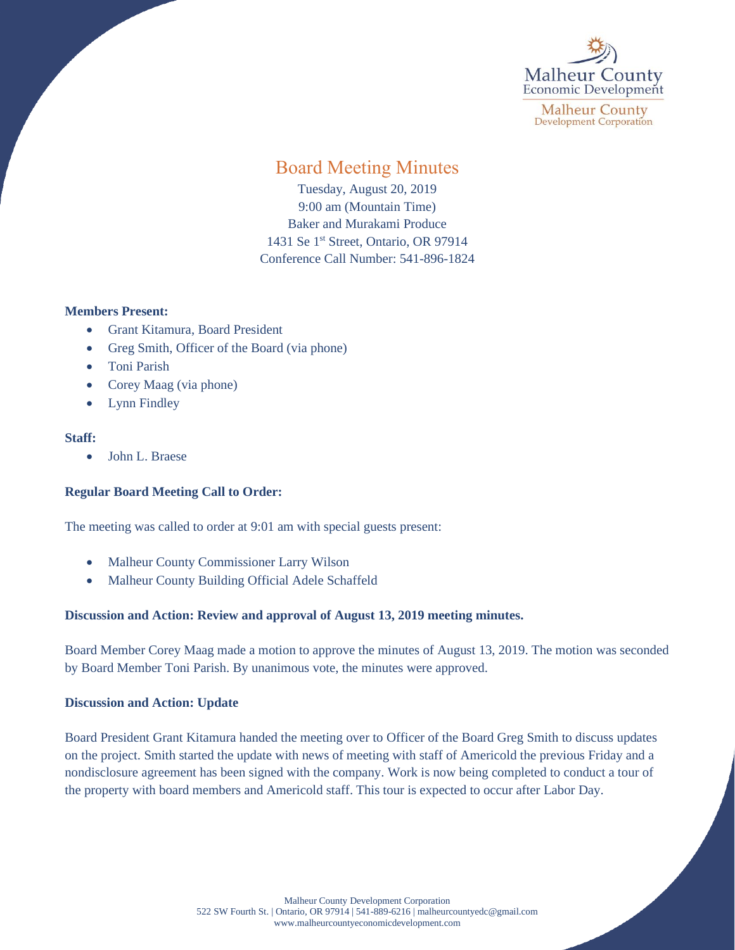

**Malheur County Development Corporation** 

# Board Meeting Minutes

Tuesday, August 20, 2019 9:00 am (Mountain Time) Baker and Murakami Produce 1431 Se 1<sup>st</sup> Street, Ontario, OR 97914 Conference Call Number: 541-896-1824

## **Members Present:**

- Grant Kitamura, Board President
- Greg Smith, Officer of the Board (via phone)
- Toni Parish
- Corey Maag (via phone)
- Lynn Findley

### **Staff:**

• John L. Braese

## **Regular Board Meeting Call to Order:**

The meeting was called to order at 9:01 am with special guests present:

- Malheur County Commissioner Larry Wilson
- Malheur County Building Official Adele Schaffeld

## **Discussion and Action: Review and approval of August 13, 2019 meeting minutes.**

Board Member Corey Maag made a motion to approve the minutes of August 13, 2019. The motion was seconded by Board Member Toni Parish. By unanimous vote, the minutes were approved.

## **Discussion and Action: Update**

Board President Grant Kitamura handed the meeting over to Officer of the Board Greg Smith to discuss updates on the project. Smith started the update with news of meeting with staff of Americold the previous Friday and a nondisclosure agreement has been signed with the company. Work is now being completed to conduct a tour of the property with board members and Americold staff. This tour is expected to occur after Labor Day.